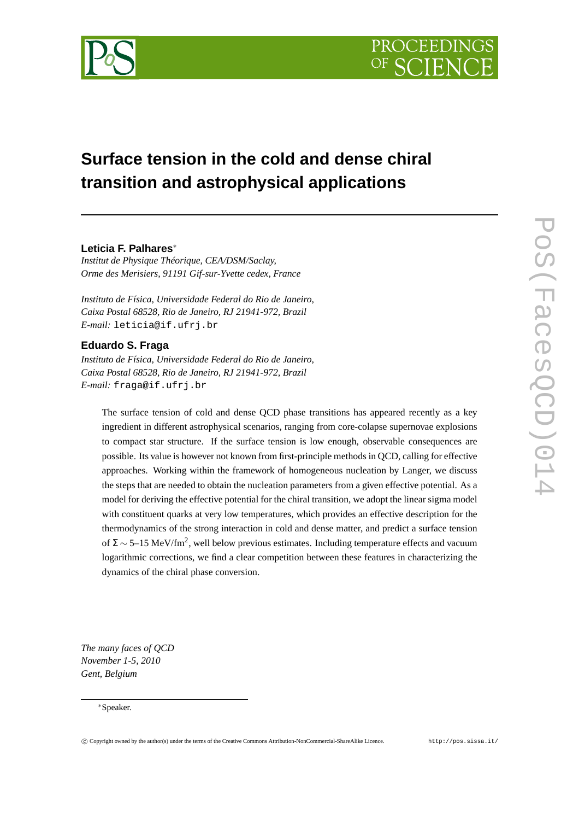

# **Surface tension in the cold and dense chiral transition and astrophysical applications**

# **Leticia F. Palhares**<sup>∗</sup>

*Institut de Physique Théorique, CEA/DSM/Saclay, Orme des Merisiers, 91191 Gif-sur-Yvette cedex, France*

*Instituto de Física, Universidade Federal do Rio de Janeiro, Caixa Postal 68528, Rio de Janeiro, RJ 21941-972, Brazil E-mail:* leticia@if.ufrj.br

# **Eduardo S. Fraga**

*Instituto de Física, Universidade Federal do Rio de Janeiro, Caixa Postal 68528, Rio de Janeiro, RJ 21941-972, Brazil E-mail:* fraga@if.ufrj.br

The surface tension of cold and dense QCD phase transitions has appeared recently as a key ingredient in different astrophysical scenarios, ranging from core-colapse supernovae explosions to compact star structure. If the surface tension is low enough, observable consequences are possible. Its value is however not known from first-principle methods in QCD, calling for effective approaches. Working within the framework of homogeneous nucleation by Langer, we discuss the steps that are needed to obtain the nucleation parameters from a given effective potential. As a model for deriving the effective potential for the chiral transition, we adopt the linear sigma model with constituent quarks at very low temperatures, which provides an effective description for the thermodynamics of the strong interaction in cold and dense matter, and predict a surface tension of  $\Sigma \sim 5$ –15 MeV/fm<sup>2</sup>, well below previous estimates. Including temperature effects and vacuum logarithmic corrections, we find a clear competition between these features in characterizing the dynamics of the chiral phase conversion.

*The many faces of QCD November 1-5, 2010 Gent, Belgium*

## <sup>∗</sup>Speaker.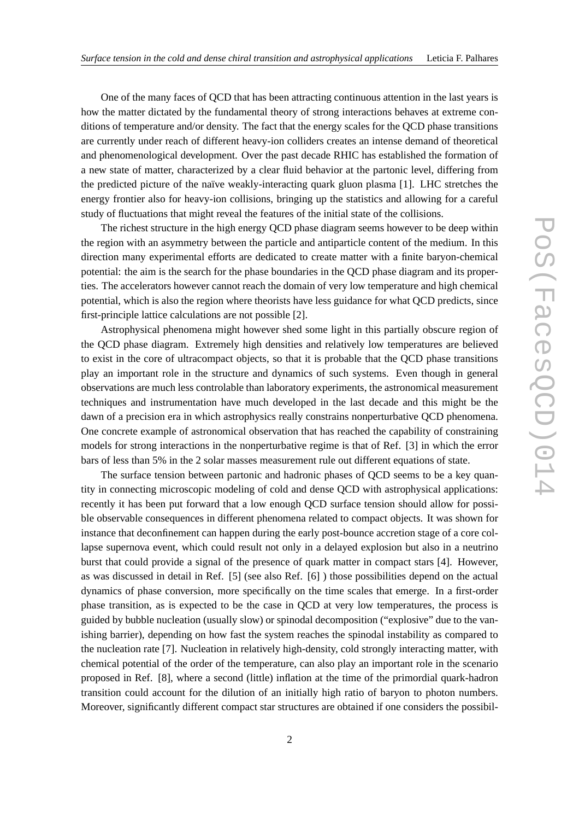One of the many faces of QCD that has been attracting continuous attention in the last years is how the matter dictated by the fundamental theory of strong interactions behaves at extreme conditions of temperature and/or density. The fact that the energy scales for the QCD phase transitions are currently under reach of different heavy-ion colliders creates an intense demand of theoretical and phenomenological development. Over the past decade RHIC has established the formation of a new state of matter, characterized by a clear fluid behavior at the partonic level, differing from the predicted picture of the naïve weakly-interacting quark gluon plasma [1]. LHC stretches the energy frontier also for heavy-ion collisions, bringing up the statistics and allowing for a careful study of fluctuations that might reveal the features of the initial state of the collisions.

The richest structure in the high energy QCD phase diagram seems however to be deep within the region with an asymmetry between the particle and antiparticle content of the medium. In this direction many experimental efforts are dedicated to create matter with a finite baryon-chemical potential: the aim is the search for the phase boundaries in the QCD phase diagram and its properties. The accelerators however cannot reach the domain of very low temperature and high chemical potential, which is also the region where theorists have less guidance for what QCD predicts, since first-principle lattice calculations are not possible [2].

Astrophysical phenomena might however shed some light in this partially obscure region of the QCD phase diagram. Extremely high densities and relatively low temperatures are believed to exist in the core of ultracompact objects, so that it is probable that the QCD phase transitions play an important role in the structure and dynamics of such systems. Even though in general observations are much less controlable than laboratory experiments, the astronomical measurement techniques and instrumentation have much developed in the last decade and this might be the dawn of a precision era in which astrophysics really constrains nonperturbative QCD phenomena. One concrete example of astronomical observation that has reached the capability of constraining models for strong interactions in the nonperturbative regime is that of Ref. [3] in which the error bars of less than 5% in the 2 solar masses measurement rule out different equations of state.

The surface tension between partonic and hadronic phases of QCD seems to be a key quantity in connecting microscopic modeling of cold and dense QCD with astrophysical applications: recently it has been put forward that a low enough QCD surface tension should allow for possible observable consequences in different phenomena related to compact objects. It was shown for instance that deconfinement can happen during the early post-bounce accretion stage of a core collapse supernova event, which could result not only in a delayed explosion but also in a neutrino burst that could provide a signal of the presence of quark matter in compact stars [4]. However, as was discussed in detail in Ref. [5] (see also Ref. [6] ) those possibilities depend on the actual dynamics of phase conversion, more specifically on the time scales that emerge. In a first-order phase transition, as is expected to be the case in QCD at very low temperatures, the process is guided by bubble nucleation (usually slow) or spinodal decomposition ("explosive" due to the vanishing barrier), depending on how fast the system reaches the spinodal instability as compared to the nucleation rate [7]. Nucleation in relatively high-density, cold strongly interacting matter, with chemical potential of the order of the temperature, can also play an important role in the scenario proposed in Ref. [8], where a second (little) inflation at the time of the primordial quark-hadron transition could account for the dilution of an initially high ratio of baryon to photon numbers. Moreover, significantly different compact star structures are obtained if one considers the possibil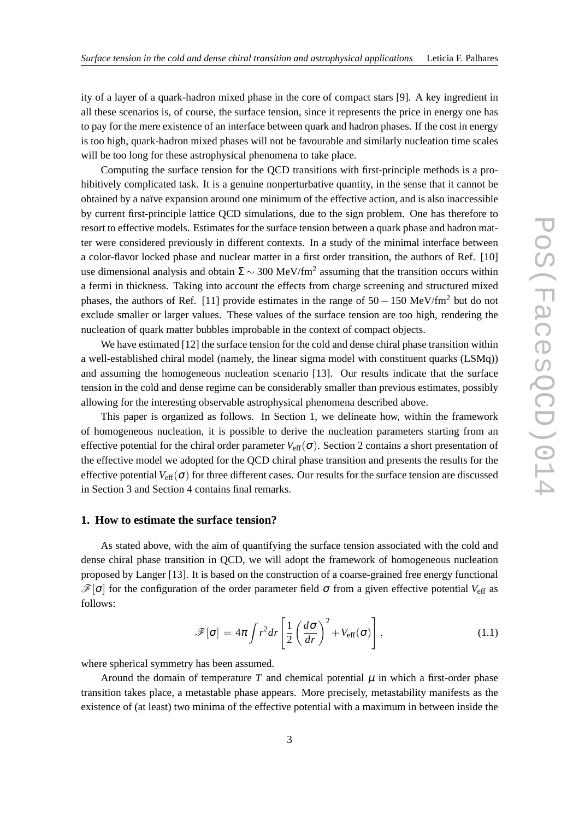ity of a layer of a quark-hadron mixed phase in the core of compact stars [9]. A key ingredient in all these scenarios is, of course, the surface tension, since it represents the price in energy one has to pay for the mere existence of an interface between quark and hadron phases. If the cost in energy is too high, quark-hadron mixed phases will not be favourable and similarly nucleation time scales will be too long for these astrophysical phenomena to take place.

Computing the surface tension for the QCD transitions with first-principle methods is a prohibitively complicated task. It is a genuine nonperturbative quantity, in the sense that it cannot be obtained by a naïve expansion around one minimum of the effective action, and is also inaccessible by current first-principle lattice QCD simulations, due to the sign problem. One has therefore to resort to effective models. Estimates for the surface tension between a quark phase and hadron matter were considered previously in different contexts. In a study of the minimal interface between a color-flavor locked phase and nuclear matter in a first order transition, the authors of Ref. [10] use dimensional analysis and obtain  $\Sigma \sim 300$  MeV/fm<sup>2</sup> assuming that the transition occurs within a fermi in thickness. Taking into account the effects from charge screening and structured mixed phases, the authors of Ref. [11] provide estimates in the range of  $50 - 150$  MeV/fm<sup>2</sup> but do not exclude smaller or larger values. These values of the surface tension are too high, rendering the nucleation of quark matter bubbles improbable in the context of compact objects.

We have estimated [12] the surface tension for the cold and dense chiral phase transition within a well-established chiral model (namely, the linear sigma model with constituent quarks (LSMq)) and assuming the homogeneous nucleation scenario [13]. Our results indicate that the surface tension in the cold and dense regime can be considerably smaller than previous estimates, possibly allowing for the interesting observable astrophysical phenomena described above.

This paper is organized as follows. In Section 1, we delineate how, within the framework of homogeneous nucleation, it is possible to derive the nucleation parameters starting from an effective potential for the chiral order parameter  $V_{\text{eff}}(\sigma)$ . Section 2 contains a short presentation of the effective model we adopted for the QCD chiral phase transition and presents the results for the effective potential  $V_{\text{eff}}(\sigma)$  for three different cases. Our results for the surface tension are discussed in Section 3 and Section 4 contains final remarks.

# **1. How to estimate the surface tension?**

As stated above, with the aim of quantifying the surface tension associated with the cold and dense chiral phase transition in QCD, we will adopt the framework of homogeneous nucleation proposed by Langer [13]. It is based on the construction of a coarse-grained free energy functional  $\mathscr{F}[\sigma]$  for the configuration of the order parameter field  $\sigma$  from a given effective potential  $V_{\text{eff}}$  as follows:

$$
\mathscr{F}[\sigma] = 4\pi \int r^2 dr \left[ \frac{1}{2} \left( \frac{d\sigma}{dr} \right)^2 + V_{\text{eff}}(\sigma) \right], \qquad (1.1)
$$

where spherical symmetry has been assumed.

Around the domain of temperature  $T$  and chemical potential  $\mu$  in which a first-order phase transition takes place, a metastable phase appears. More precisely, metastability manifests as the existence of (at least) two minima of the effective potential with a maximum in between inside the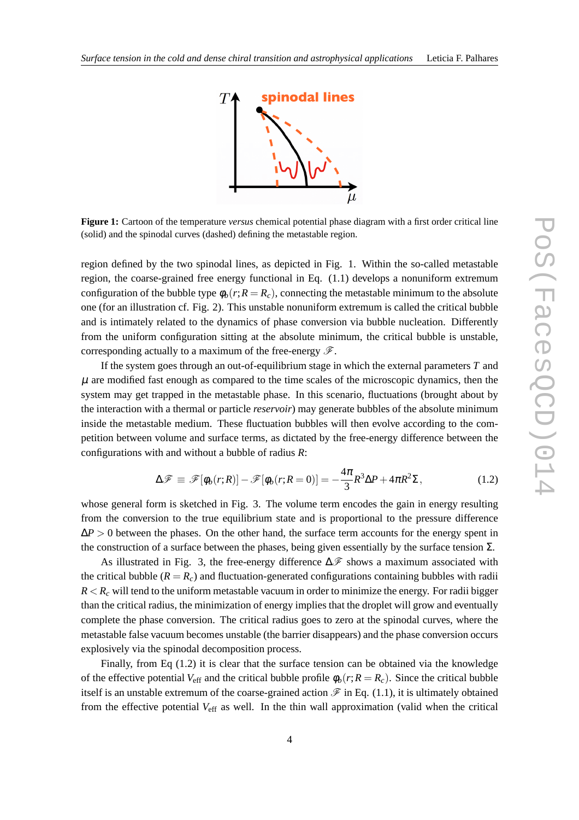

**Figure 1:** Cartoon of the temperature *versus* chemical potential phase diagram with a first order critical line (solid) and the spinodal curves (dashed) defining the metastable region.

region defined by the two spinodal lines, as depicted in Fig. 1. Within the so-called metastable region, the coarse-grained free energy functional in Eq. (1.1) develops a nonuniform extremum configuration of the bubble type  $\phi_h(r;R = R_c)$ , connecting the metastable minimum to the absolute one (for an illustration cf. Fig. 2). This unstable nonuniform extremum is called the critical bubble and is intimately related to the dynamics of phase conversion via bubble nucleation. Differently from the uniform configuration sitting at the absolute minimum, the critical bubble is unstable, corresponding actually to a maximum of the free-energy  $\mathscr{F}$ .

If the system goes through an out-of-equilibrium stage in which the external parameters *T* and  $\mu$  are modified fast enough as compared to the time scales of the microscopic dynamics, then the system may get trapped in the metastable phase. In this scenario, fluctuations (brought about by the interaction with a thermal or particle *reservoir*) may generate bubbles of the absolute minimum inside the metastable medium. These fluctuation bubbles will then evolve according to the competition between volume and surface terms, as dictated by the free-energy difference between the configurations with and without a bubble of radius *R*:

$$
\Delta \mathscr{F} \equiv \mathscr{F}[\phi_b(r;R)] - \mathscr{F}[\phi_b(r;R=0)] = -\frac{4\pi}{3}R^3\Delta P + 4\pi R^2\Sigma,
$$
\n(1.2)

whose general form is sketched in Fig. 3. The volume term encodes the gain in energy resulting from the conversion to the true equilibrium state and is proportional to the pressure difference  $\Delta P > 0$  between the phases. On the other hand, the surface term accounts for the energy spent in the construction of a surface between the phases, being given essentially by the surface tension  $\Sigma$ .

As illustrated in Fig. 3, the free-energy difference  $\Delta \mathscr{F}$  shows a maximum associated with the critical bubble  $(R = R_c)$  and fluctuation-generated configurations containing bubbles with radii  $R < R_c$  will tend to the uniform metastable vacuum in order to minimize the energy. For radii bigger than the critical radius, the minimization of energy implies that the droplet will grow and eventually complete the phase conversion. The critical radius goes to zero at the spinodal curves, where the metastable false vacuum becomes unstable (the barrier disappears) and the phase conversion occurs explosively via the spinodal decomposition process.

Finally, from Eq (1.2) it is clear that the surface tension can be obtained via the knowledge of the effective potential  $V_{\text{eff}}$  and the critical bubble profile  $\phi_b(r;R=R_c)$ . Since the critical bubble itself is an unstable extremum of the coarse-grained action  $\mathscr F$  in Eq. (1.1), it is ultimately obtained from the effective potential  $V_{\text{eff}}$  as well. In the thin wall approximation (valid when the critical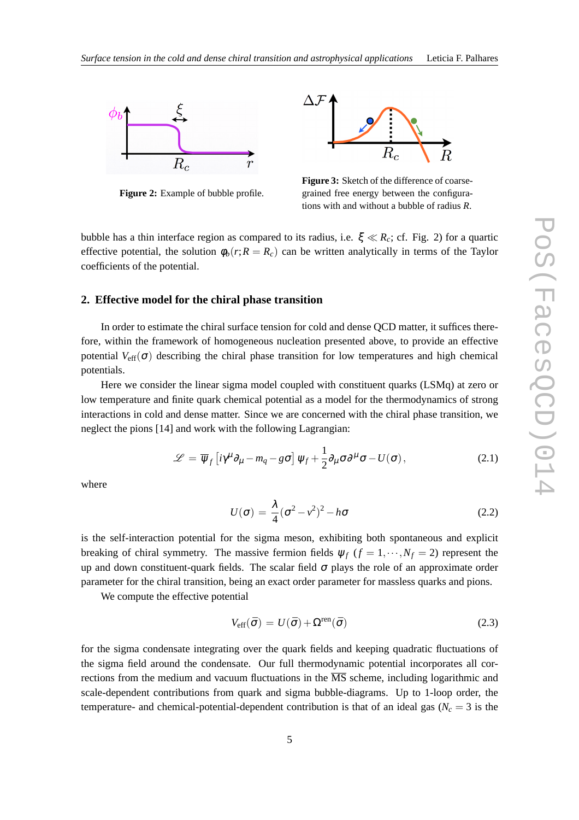

**Figure 2:** Example of bubble profile.



**Figure 3:** Sketch of the difference of coarsegrained free energy between the configurations with and without a bubble of radius *R*.

bubble has a thin interface region as compared to its radius, i.e.  $\xi \ll R_c$ ; cf. Fig. 2) for a quartic effective potential, the solution  $\phi_b(r;R=R_c)$  can be written analytically in terms of the Taylor coefficients of the potential.

#### **2. Effective model for the chiral phase transition**

In order to estimate the chiral surface tension for cold and dense QCD matter, it suffices therefore, within the framework of homogeneous nucleation presented above, to provide an effective potential  $V_{\text{eff}}(\sigma)$  describing the chiral phase transition for low temperatures and high chemical potentials.

Here we consider the linear sigma model coupled with constituent quarks (LSMq) at zero or low temperature and finite quark chemical potential as a model for the thermodynamics of strong interactions in cold and dense matter. Since we are concerned with the chiral phase transition, we neglect the pions [14] and work with the following Lagrangian:

$$
\mathscr{L} = \overline{\psi}_f \left[ i \gamma^\mu \partial_\mu - m_q - g \sigma \right] \psi_f + \frac{1}{2} \partial_\mu \sigma \partial^\mu \sigma - U(\sigma), \qquad (2.1)
$$

where

$$
U(\sigma) = \frac{\lambda}{4} (\sigma^2 - v^2)^2 - h\sigma
$$
 (2.2)

is the self-interaction potential for the sigma meson, exhibiting both spontaneous and explicit breaking of chiral symmetry. The massive fermion fields  $\psi_f$  ( $f = 1, \dots, N_f = 2$ ) represent the up and down constituent-quark fields. The scalar field  $\sigma$  plays the role of an approximate order parameter for the chiral transition, being an exact order parameter for massless quarks and pions.

We compute the effective potential

$$
V_{\rm eff}(\bar{\sigma}) = U(\bar{\sigma}) + \Omega^{\rm ren}(\bar{\sigma})
$$
\n(2.3)

for the sigma condensate integrating over the quark fields and keeping quadratic fluctuations of the sigma field around the condensate. Our full thermodynamic potential incorporates all corrections from the medium and vacuum fluctuations in the  $\overline{MS}$  scheme, including logarithmic and scale-dependent contributions from quark and sigma bubble-diagrams. Up to 1-loop order, the temperature- and chemical-potential-dependent contribution is that of an ideal gas ( $N_c = 3$  is the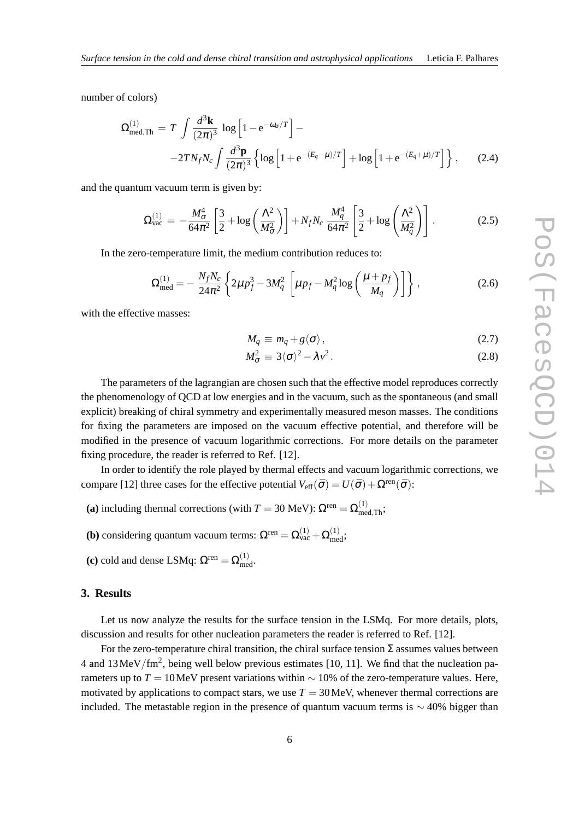number of colors)

$$
\Omega_{\text{med},\text{Th}}^{(1)} = T \int \frac{d^3 \mathbf{k}}{(2\pi)^3} \log \left[ 1 - e^{-\omega_{\sigma}/T} \right] -
$$
  
-2*TN<sub>f</sub>N<sub>c</sub>*  $\int \frac{d^3 \mathbf{p}}{(2\pi)^3} \left\{ \log \left[ 1 + e^{-(E_q - \mu)/T} \right] + \log \left[ 1 + e^{-(E_q + \mu)/T} \right] \right\},$  (2.4)

and the quantum vacuum term is given by:

$$
\Omega_{\text{vac}}^{(1)} = -\frac{M_{\sigma}^4}{64\pi^2} \left[ \frac{3}{2} + \log \left( \frac{\Lambda^2}{M_{\sigma}^2} \right) \right] + N_f N_c \frac{M_q^4}{64\pi^2} \left[ \frac{3}{2} + \log \left( \frac{\Lambda^2}{M_q^2} \right) \right]. \tag{2.5}
$$

In the zero-temperature limit, the medium contribution reduces to:

$$
\Omega_{\text{med}}^{(1)} = -\frac{N_f N_c}{24\pi^2} \left\{ 2\mu p_f^3 - 3M_q^2 \left[ \mu p_f - M_q^2 \log \left( \frac{\mu + p_f}{M_q} \right) \right] \right\},\tag{2.6}
$$

with the effective masses:

$$
M_q \equiv m_q + g \langle \sigma \rangle, \tag{2.7}
$$

$$
M_{\sigma}^2 \equiv 3\langle \sigma \rangle^2 - \lambda v^2. \tag{2.8}
$$

The parameters of the lagrangian are chosen such that the effective model reproduces correctly the phenomenology of QCD at low energies and in the vacuum, such as the spontaneous (and small explicit) breaking of chiral symmetry and experimentally measured meson masses. The conditions for fixing the parameters are imposed on the vacuum effective potential, and therefore will be modified in the presence of vacuum logarithmic corrections. For more details on the parameter fixing procedure, the reader is referred to Ref. [12].

In order to identify the role played by thermal effects and vacuum logarithmic corrections, we compare [12] three cases for the effective potential  $V_{\text{eff}}(\bar{\sigma}) = U(\bar{\sigma}) + \Omega^{\text{ren}}(\bar{\sigma})$ :

- (a) including thermal corrections (with  $T = 30$  MeV):  $\Omega^{\text{ren}} = \Omega_{\text{med},\text{Th}}^{(1)}$ ;
- **(b)** considering quantum vacuum terms:  $\Omega^{\text{ren}} = \Omega_{\text{vac}}^{(1)} + \Omega_{\text{med}}^{(1)}$ ;
- (c) cold and dense LSMq:  $\Omega^{\text{ren}} = \Omega_{\text{med}}^{(1)}$ .

## **3. Results**

Let us now analyze the results for the surface tension in the LSMq. For more details, plots, discussion and results for other nucleation parameters the reader is referred to Ref. [12].

For the zero-temperature chiral transition, the chiral surface tension  $\Sigma$  assumes values between 4 and  $13 \text{MeV}/\text{fm}^2$ , being well below previous estimates [10, 11]. We find that the nucleation parameters up to  $T = 10$ MeV present variations within  $\sim 10\%$  of the zero-temperature values. Here, motivated by applications to compact stars, we use  $T = 30$  MeV, whenever thermal corrections are included. The metastable region in the presence of quantum vacuum terms is  $\sim$  40% bigger than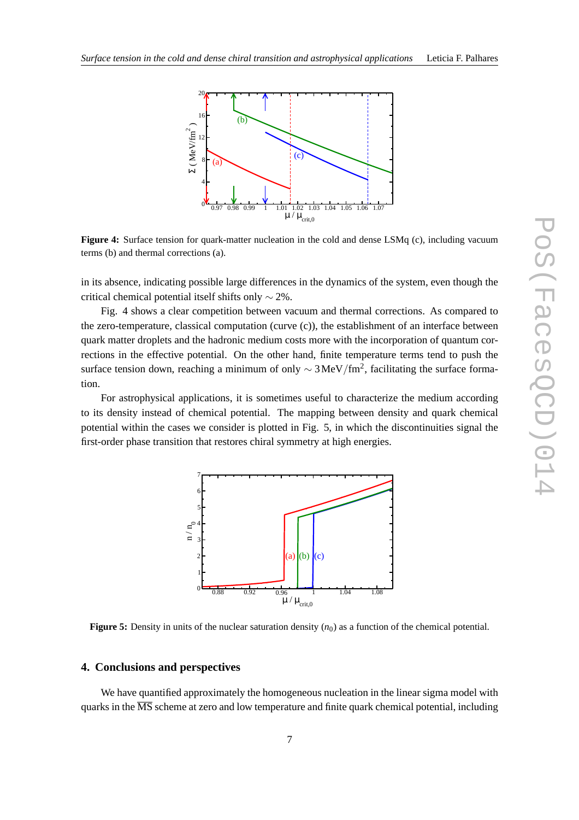

**Figure 4:** Surface tension for quark-matter nucleation in the cold and dense LSMq (c), including vacuum terms (b) and thermal corrections (a).

in its absence, indicating possible large differences in the dynamics of the system, even though the critical chemical potential itself shifts only ∼ 2%.

Fig. 4 shows a clear competition between vacuum and thermal corrections. As compared to the zero-temperature, classical computation (curve (c)), the establishment of an interface between quark matter droplets and the hadronic medium costs more with the incorporation of quantum corrections in the effective potential. On the other hand, finite temperature terms tend to push the surface tension down, reaching a minimum of only  $\sim 3 \, \text{MeV}/\text{fm}^2$ , facilitating the surface formation.

For astrophysical applications, it is sometimes useful to characterize the medium according to its density instead of chemical potential. The mapping between density and quark chemical potential within the cases we consider is plotted in Fig. 5, in which the discontinuities signal the first-order phase transition that restores chiral symmetry at high energies.



**Figure 5:** Density in units of the nuclear saturation density  $(n_0)$  as a function of the chemical potential.

## **4. Conclusions and perspectives**

We have quantified approximately the homogeneous nucleation in the linear sigma model with quarks in the  $\overline{\text{MS}}$  scheme at zero and low temperature and finite quark chemical potential, including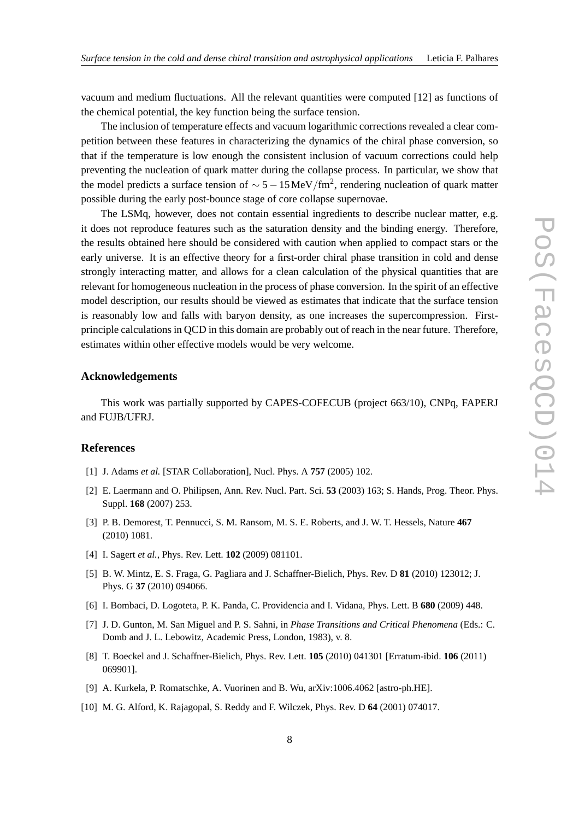vacuum and medium fluctuations. All the relevant quantities were computed [12] as functions of the chemical potential, the key function being the surface tension.

The inclusion of temperature effects and vacuum logarithmic corrections revealed a clear competition between these features in characterizing the dynamics of the chiral phase conversion, so that if the temperature is low enough the consistent inclusion of vacuum corrections could help preventing the nucleation of quark matter during the collapse process. In particular, we show that the model predicts a surface tension of  $\sim 5 - 15 \,\mathrm{MeV}/\mathrm{fm}^2$ , rendering nucleation of quark matter possible during the early post-bounce stage of core collapse supernovae.

The LSMq, however, does not contain essential ingredients to describe nuclear matter, e.g. it does not reproduce features such as the saturation density and the binding energy. Therefore, the results obtained here should be considered with caution when applied to compact stars or the early universe. It is an effective theory for a first-order chiral phase transition in cold and dense strongly interacting matter, and allows for a clean calculation of the physical quantities that are relevant for homogeneous nucleation in the process of phase conversion. In the spirit of an effective model description, our results should be viewed as estimates that indicate that the surface tension is reasonably low and falls with baryon density, as one increases the supercompression. Firstprinciple calculations in QCD in this domain are probably out of reach in the near future. Therefore, estimates within other effective models would be very welcome.

### **Acknowledgements**

This work was partially supported by CAPES-COFECUB (project 663/10), CNPq, FAPERJ and FUJB/UFRJ.

#### **References**

- [1] J. Adams *et al.* [STAR Collaboration], Nucl. Phys. A **757** (2005) 102.
- [2] E. Laermann and O. Philipsen, Ann. Rev. Nucl. Part. Sci. **53** (2003) 163; S. Hands, Prog. Theor. Phys. Suppl. **168** (2007) 253.
- [3] P. B. Demorest, T. Pennucci, S. M. Ransom, M. S. E. Roberts, and J. W. T. Hessels, Nature **467** (2010) 1081.
- [4] I. Sagert *et al.*, Phys. Rev. Lett. **102** (2009) 081101.
- [5] B. W. Mintz, E. S. Fraga, G. Pagliara and J. Schaffner-Bielich, Phys. Rev. D **81** (2010) 123012; J. Phys. G **37** (2010) 094066.
- [6] I. Bombaci, D. Logoteta, P. K. Panda, C. Providencia and I. Vidana, Phys. Lett. B **680** (2009) 448.
- [7] J. D. Gunton, M. San Miguel and P. S. Sahni, in *Phase Transitions and Critical Phenomena* (Eds.: C. Domb and J. L. Lebowitz, Academic Press, London, 1983), v. 8.
- [8] T. Boeckel and J. Schaffner-Bielich, Phys. Rev. Lett. **105** (2010) 041301 [Erratum-ibid. **106** (2011) 069901].
- [9] A. Kurkela, P. Romatschke, A. Vuorinen and B. Wu, arXiv:1006.4062 [astro-ph.HE].
- [10] M. G. Alford, K. Rajagopal, S. Reddy and F. Wilczek, Phys. Rev. D **64** (2001) 074017.